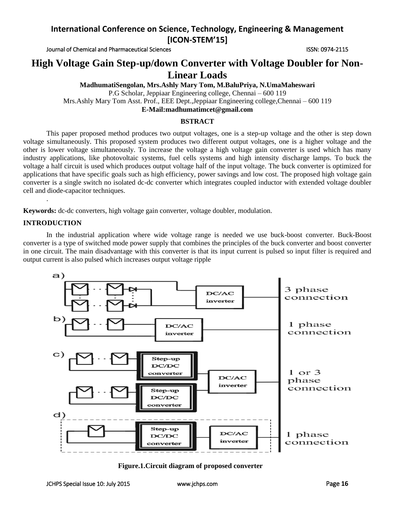Journal of Chemical and Pharmaceutical Sciences **ISSN: 0974-2115** ISSN: 0974-2115

# **High Voltage Gain Step-up/down Converter with Voltage Doubler for Non-Linear Loads**

**MadhumatiSengolan, Mrs.Ashly Mary Tom, M.BaluPriya, N.UmaMaheswari** P.G Scholar, Jeppiaar Engineering college, Chennai – 600 119 Mrs.Ashly Mary Tom Asst. Prof., EEE Dept.,Jeppiaar Engineering college,Chennai – 600 119 **E-Mail:madhumatimcet@gmail.com**

#### **BSTRACT**

This paper proposed method produces two output voltages, one is a step-up voltage and the other is step down voltage simultaneously. This proposed system produces two different output voltages, one is a higher voltage and the other is lower voltage simultaneously. To increase the voltage a high voltage gain converter is used which has many industry applications, like photovoltaic systems, fuel cells systems and high intensity discharge lamps. To buck the voltage a half circuit is used which produces output voltage half of the input voltage. The buck converter is optimized for applications that have specific goals such as high efficiency, power savings and low cost. The proposed high voltage gain converter is a single switch no isolated dc-dc converter which integrates coupled inductor with extended voltage doubler cell and diode-capacitor techniques.

**Keywords:** dc-dc converters, high voltage gain converter, voltage doubler, modulation.

#### **INTRODUCTION**

.

In the industrial application where wide voltage range is needed we use buck-boost converter. Buck-Boost converter is a type of switched mode power supply that combines the principles of the buck converter and boost converter in one circuit. The main disadvantage with this converter is that its input current is pulsed so input filter is required and output current is also pulsed which increases output voltage ripple



**Figure.1.Circuit diagram of proposed converter**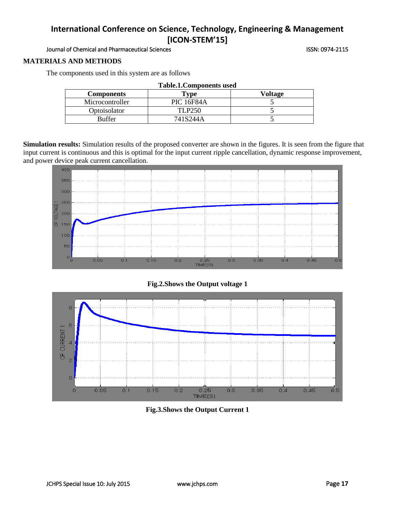Journal of Chemical and Pharmaceutical Sciences **ISSN: 0974-2115** ISSN: 0974-2115

#### **MATERIALS AND METHODS**

**Table.1.Components used Components Type Voltage** Microcontroller PIC 16F84A 5 Optoisolator TLP250 5 Buffer 141S244A 5

The components used in this system are as follows

**Simulation results:** Simulation results of the proposed converter are shown in the figures. It is seen from the figure that input current is continuous and this is optimal for the input current ripple cancellation, dynamic response improvement, and power device peak current cancellation.



## **Fig.2.Shows the Output voltage 1**



**Fig.3.Shows the Output Current 1**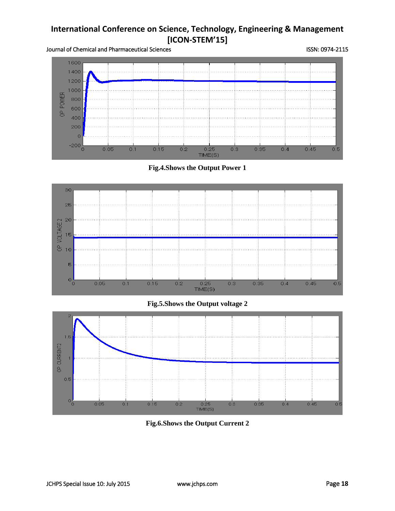



**Fig.4.Shows the Output Power 1**





**Fig.6.Shows the Output Current 2**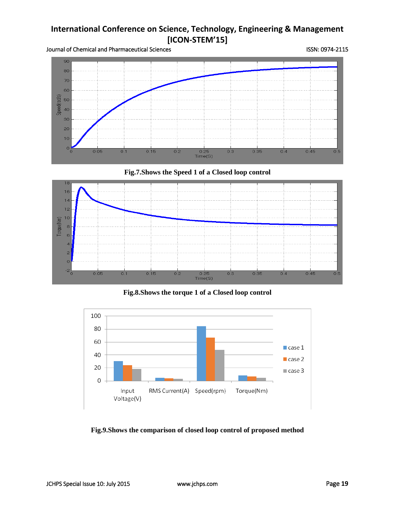

## **Fig.7.Shows the Speed 1 of a Closed loop control**



**Fig.8.Shows the torque 1 of a Closed loop control**



**Fig.9.Shows the comparison of closed loop control of proposed method**